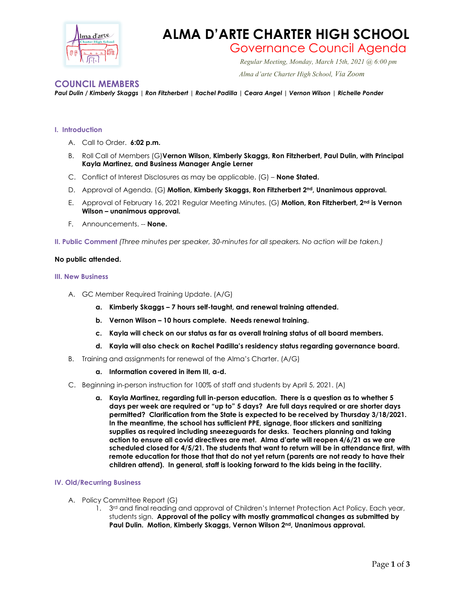

## **ALMA D'ARTE CHARTER HIGH SCHOOL**

# Governance Council Agenda *Regular Meeting, Monday, March 15th, 2021 @ 6:00 pm*

 *Alma d'arte Charter High School, Via Zoom*

### **COUNCIL MEMBERS**

#### *Paul Dulin / Kimberly Skaggs | Ron Fitzherbert | Rachel Padilla | Ceara Angel | Vernon Wilson | Richelle Ponder*

#### **I. Introduction**

- A. Call to Order. **6:02 p.m.**
- B. Roll Call of Members (G)**Vernon Wilson, Kimberly Skaggs, Ron Fitzherbert, Paul Dulin, with Principal Kayla Martinez, and Business Manager Angie Lerner**
- C. Conflict of Interest Disclosures as may be applicable. (G) **None Stated.**
- D. Approval of Agenda. (G) **Motion, Kimberly Skaggs, Ron Fitzherbert 2nd, Unanimous approval.**
- E. Approval of February 16, 2021 Regular Meeting Minutes. (G) **Motion, Ron Fitzherbert, 2nd is Vernon Wilson – unanimous approval.**
- F. Announcements. -- **None.**
- **II. Public Comment** *(Three minutes per speaker, 30-minutes for all speakers. No action will be taken.)*

#### **No public attended.**

#### **III. New Business**

- A. GC Member Required Training Update. (A/G)
	- **a. Kimberly Skaggs – 7 hours self-taught, and renewal training attended.**
	- **b. Vernon Wilson – 10 hours complete. Needs renewal training.**
	- **c. Kayla will check on our status as far as overall training status of all board members.**
	- **d. Kayla will also check on Rachel Padilla's residency status regarding governance board.**
- B. Training and assignments for renewal of the Alma's Charter. (A/G)
	- **a. Information covered in item III, a-d.**
- C. Beginning in-person instruction for 100% of staff and students by April 5, 2021. (A)
	- **a. Kayla Martinez, regarding full in-person education. There is a question as to whether 5 days per week are required or "up to" 5 days? Are full days required or are shorter days permitted? Clarification from the State is expected to be received by Thursday 3/18/2021. In the meantime, the school has sufficient PPE, signage, floor stickers and sanitizing supplies as required including sneezeguards for desks. Teachers planning and taking action to ensure all covid directives are met. Alma d'arte will reopen 4/6/21 as we are scheduled closed for 4/5/21. The students that want to return will be in attendance first, with remote education for those that that do not yet return (parents are not ready to have their children attend). In general, staff is looking forward to the kids being in the facility.**

#### **IV. Old/Recurring Business**

- A. Policy Committee Report (G)
	- 1. 3<sup>rd</sup> and final reading and approval of Children's Internet Protection Act Policy. Each year, students sign. **Approval of the policy with mostly grammatical changes as submitted by Paul Dulin. Motion, Kimberly Skaggs, Vernon Wilson 2nd, Unanimous approval.**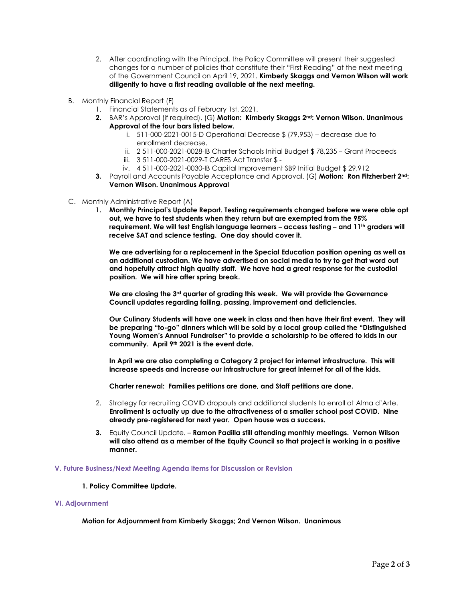- 2. After coordinating with the Principal, the Policy Committee will present their suggested changes for a number of policies that constitute their "First Reading" at the next meeting of the Government Council on April 19, 2021. **Kimberly Skaggs and Vernon Wilson will work diligently to have a first reading available at the next meeting.**
- B. Monthly Financial Report (F)
	- 1. Financial Statements as of February 1st, 2021.
	- **2.** BAR's Approval (if required). (G) **Motion: Kimberly Skaggs 2nd: Vernon Wilson. Unanimous Approval of the four bars listed below.**
		- i. 511-000-2021-0015-D Operational Decrease \$ (79,953) decrease due to enrollment decrease.
		- ii. 2 511-000-2021-0028-IB Charter Schools Initial Budget \$ 78,235 Grant Proceeds
		- iii. 3 511-000-2021-0029-T CARES Act Transfer \$ -
		- iv. 4 511-000-2021-0030-IB Capital Improvement SB9 Initial Budget \$ 29,912
	- **3.** Payroll and Accounts Payable Acceptance and Approval. (G) **Motion: Ron Fitzherbert 2nd: Vernon Wilson. Unanimous Approval**
- C. Monthly Administrative Report (A)
	- **1. Monthly Principal's Update Report. Testing requirements changed before we were able opt out, we have to test students when they return but are exempted from the 95% requirement. We will test English language learners – access testing – and 11th graders will receive SAT and science testing. One day should cover it.**

**We are advertising for a replacement in the Special Education position opening as well as an additional custodian. We have advertised on social media to try to get that word out and hopefully attract high quality staff. We have had a great response for the custodial position. We will hire after spring break.** 

**We are closing the 3rd quarter of grading this week. We will provide the Governance Council updates regarding failing, passing, improvement and deficiencies.** 

**Our Culinary Students will have one week in class and then have their first event. They will be preparing "to-go" dinners which will be sold by a local group called the "Distinguished Young Women's Annual Fundraiser" to provide a scholarship to be offered to kids in our community. April 9th 2021 is the event date.** 

**In April we are also completing a Category 2 project for internet infrastructure. This will increase speeds and increase our infrastructure for great internet for all of the kids.** 

**Charter renewal: Families petitions are done, and Staff petitions are done.**

- 2. Strategy for recruiting COVID dropouts and additional students to enroll at Alma d'Arte. **Enrollment is actually up due to the attractiveness of a smaller school post COVID. Nine already pre-registered for next year. Open house was a success.**
- **3.** Equity Council Update. **Ramon Padilla still attending monthly meetings. Vernon Wilson will also attend as a member of the Equity Council so that project is working in a positive manner.**

#### **V. Future Business/Next Meeting Agenda Items for Discussion or Revision**

**1. Policy Committee Update.**

#### **VI. Adjournment**

**Motion for Adjournment from Kimberly Skaggs; 2nd Vernon Wilson. Unanimous**